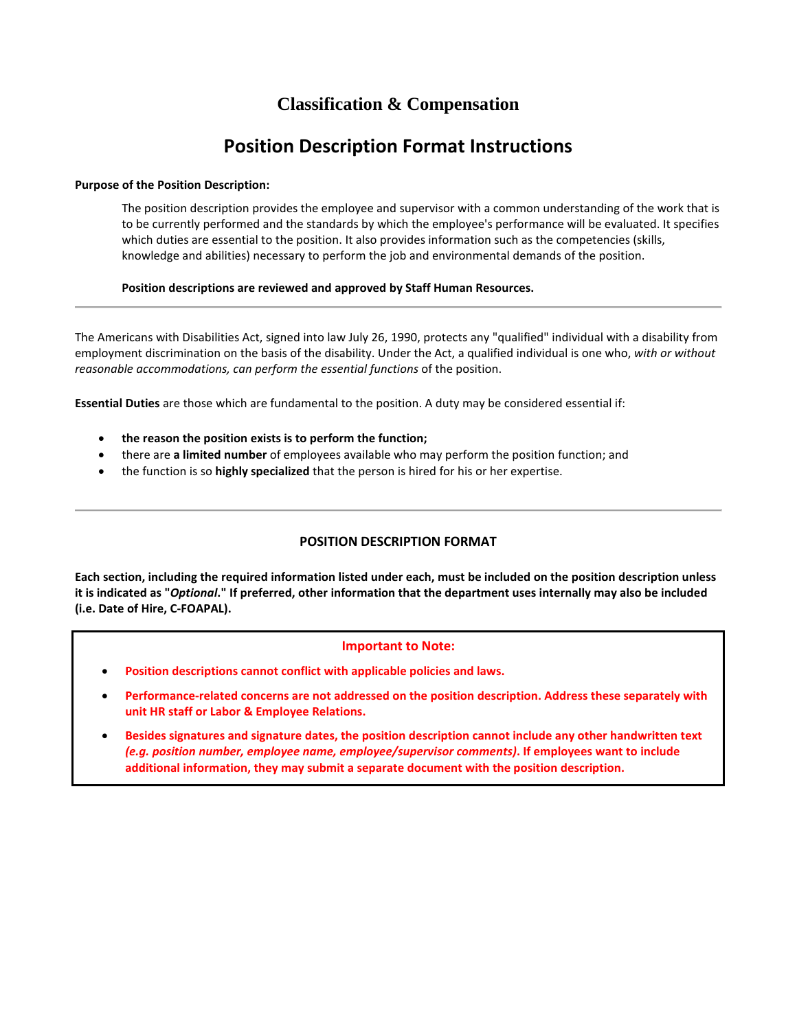# **Classification & Compensation**

# **Position Description Format Instructions**

# **Purpose of the Position Description:**

The position description provides the employee and supervisor with a common understanding of the work that is to be currently performed and the standards by which the employee's performance will be evaluated. It specifies which duties are essential to the position. It also provides information such as the competencies (skills, knowledge and abilities) necessary to perform the job and environmental demands of the position.

# **Position descriptions are reviewed and approved by Staff Human Resources.**

The Americans with Disabilities Act, signed into law July 26, 1990, protects any "qualified" individual with a disability from employment discrimination on the basis of the disability. Under the Act, a qualified individual is one who, *with or without reasonable accommodations, can perform the essential functions* of the position.

**Essential Duties** are those which are fundamental to the position. A duty may be considered essential if:

- **the reason the position exists is to perform the function;**
- there are **a limited number** of employees available who may perform the position function; and
- the function is so **highly specialized** that the person is hired for his or her expertise.

# **POSITION DESCRIPTION FORMAT**

**Each section, including the required information listed under each, must be included on the position description unless it is indicated as "***Optional***." If preferred, other information that the department uses internally may also be included (i.e. Date of Hire, C-FOAPAL).**

#### **Important to Note:**

- **Position descriptions cannot conflict with applicable policies and laws.**
- **Performance-related concerns are not addressed on the position description. Address these separately with unit HR staff or Labor & Employee Relations.**
- **Besides signatures and signature dates, the position description cannot include any other handwritten text**  *(e.g. position number, employee name, employee/supervisor comments)***. If employees want to include additional information, they may submit a separate document with the position description.**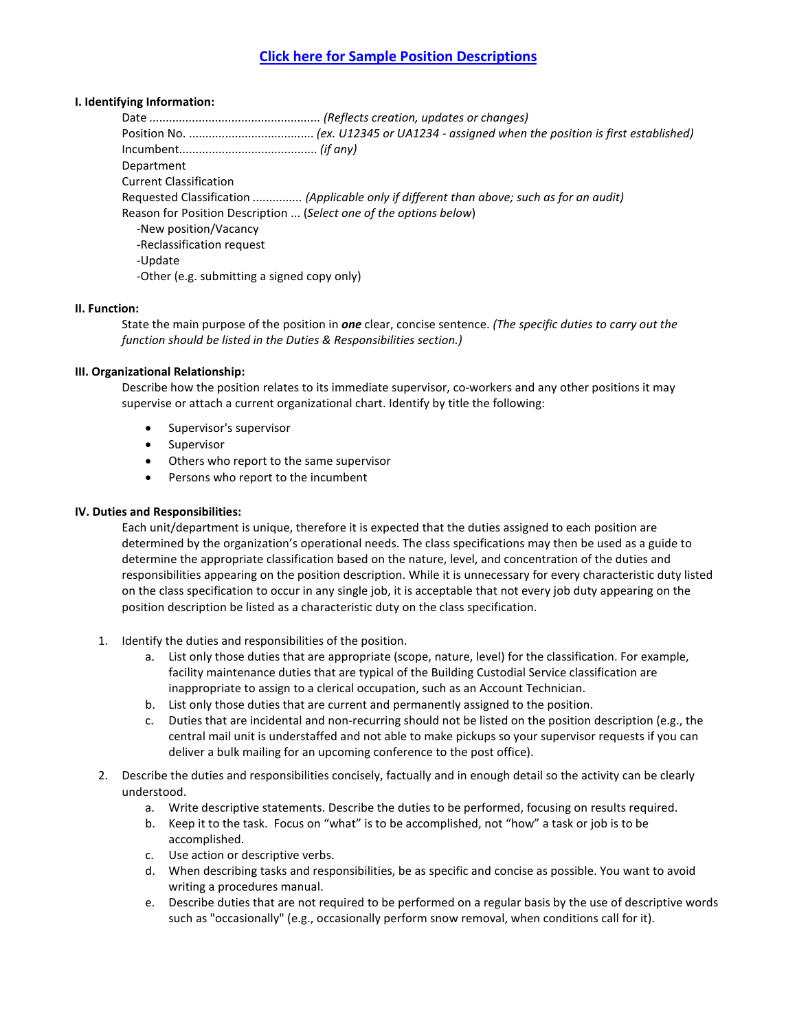# **I. Identifying Information:**

Date *.................................................... (Reflects creation, updates or changes)* Position No. ...................................... *(ex. U12345 or UA1234 - assigned when the position is first established)* Incumbent.......................................... *(if any)* Department Current Classification Requested Classification *............... (Applicable only if different than above; such as for an audit)* Reason for Position Description ... (*Select one of the options below*) -New position/Vacancy -Reclassification request -Update -Other (e.g. submitting a signed copy only)

# **II. Function:**

State the main purpose of the position in *one* clear, concise sentence. *(The specific duties to carry out the function should be listed in the Duties & Responsibilities section.)*

# **III. Organizational Relationship:**

Describe how the position relates to its immediate supervisor, co-workers and any other positions it may supervise or attach a current organizational chart. Identify by title the following:

- Supervisor's supervisor
- **Supervisor**
- Others who report to the same supervisor
- Persons who report to the incumbent

# **IV. Duties and Responsibilities:**

Each unit/department is unique, therefore it is expected that the duties assigned to each position are determined by the organization's operational needs. The class specifications may then be used as a guide to determine the appropriate classification based on the nature, level, and concentration of the duties and responsibilities appearing on the position description. While it is unnecessary for every characteristic duty listed on the class specification to occur in any single job, it is acceptable that not every job duty appearing on the position description be listed as a characteristic duty on the class specification.

- 1. Identify the duties and responsibilities of the position.
	- a. List only those duties that are appropriate (scope, nature, level) for the classification. For example, facility maintenance duties that are typical of the Building Custodial Service classification are inappropriate to assign to a clerical occupation, such as an Account Technician.
	- b. List only those duties that are current and permanently assigned to the position.
	- c. Duties that are incidental and non-recurring should not be listed on the position description (e.g., the central mail unit is understaffed and not able to make pickups so your supervisor requests if you can deliver a bulk mailing for an upcoming conference to the post office).
- 2. Describe the duties and responsibilities concisely, factually and in enough detail so the activity can be clearly understood.
	- a. Write descriptive statements. Describe the duties to be performed, focusing on results required.
	- b. Keep it to the task. Focus on "what" is to be accomplished, not "how" a task or job is to be accomplished.
	- c. Use action or descriptive verbs.
	- d. When describing tasks and responsibilities, be as specific and concise as possible. You want to avoid writing a procedures manual.
	- e. Describe duties that are not required to be performed on a regular basis by the use of descriptive words such as "occasionally" (e.g., occasionally perform snow removal, when conditions call for it).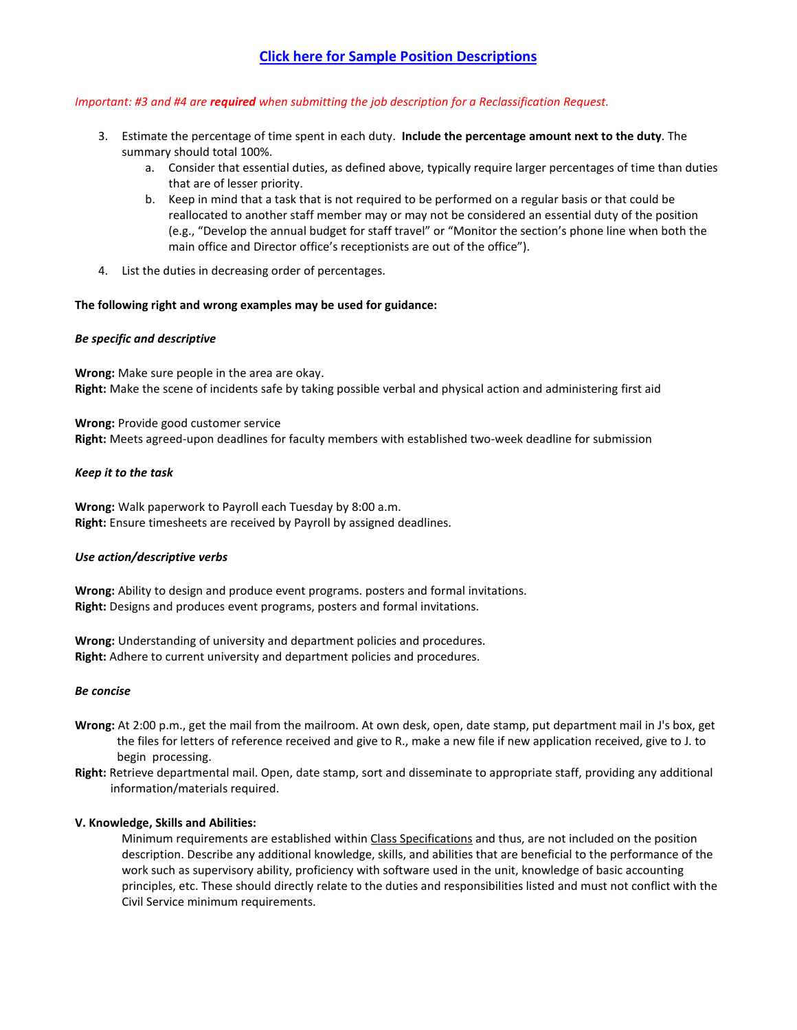# **Click here for Sample Position Descriptions**

# *Important: #3 and #4 are required when submitting the job description for a Reclassification Request.*

- 3. Estimate the percentage of time spent in each duty. **Include the percentage amount next to the duty**. The summary should total 100%.
	- a. Consider that essential duties, as defined above, typically require larger percentages of time than duties that are of lesser priority.
	- b. Keep in mind that a task that is not required to be performed on a regular basis or that could be reallocated to another staff member may or may not be considered an essential duty of the position (e.g., "Develop the annual budget for staff travel" or "Monitor the section's phone line when both the main office and Director office's receptionists are out of the office").
- 4. List the duties in decreasing order of percentages.

#### **The following right and wrong examples may be used for guidance:**

# *Be specific and descriptive*

**Wrong:** Make sure people in the area are okay. **Right:** Make the scene of incidents safe by taking possible verbal and physical action and administering first aid

**Wrong:** Provide good customer service **Right:** Meets agreed-upon deadlines for faculty members with established two-week deadline for submission

#### *Keep it to the task*

**Wrong:** Walk paperwork to Payroll each Tuesday by 8:00 a.m. **Right:** Ensure timesheets are received by Payroll by assigned deadlines.

# *Use action/descriptive verbs*

**Wrong:** Ability to design and produce event programs. posters and formal invitations. **Right:** Designs and produces event programs, posters and formal invitations.

**Wrong:** Understanding of university and department policies and procedures. **Right:** Adhere to current university and department policies and procedures.

#### *Be concise*

- **Wrong:** At 2:00 p.m., get the mail from the mailroom. At own desk, open, date stamp, put department mail in J's box, get the files for letters of reference received and give to R., make a new file if new application received, give to J. to begin processing.
- **Right:** Retrieve departmental mail. Open, date stamp, sort and disseminate to appropriate staff, providing any additional information/materials required.

#### **V. Knowledge, Skills and Abilities:**

Minimum requirements are established within [Class Specifications](https://www.sucss.illinois.gov/specs/Default.aspx?osm=c19) and thus, are not included on the position description. Describe any additional knowledge, skills, and abilities that are beneficial to the performance of the work such as supervisory ability, proficiency with software used in the unit, knowledge of basic accounting principles, etc. These should directly relate to the duties and responsibilities listed and must not conflict with the Civil Service minimum requirements.